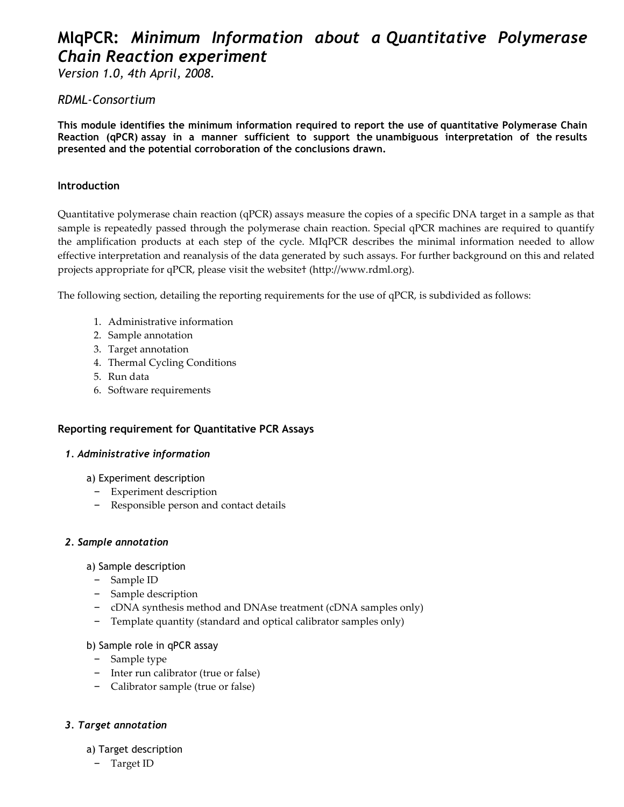# MIqPCR: Minimum Information about a Quantitative Polymerase Chain Reaction experiment

Version 1.0, 4th April, 2008.

# RDML-Consortium

This module identifies the minimum information required to report the use of quantitative Polymerase Chain Reaction (qPCR) assay in a manner sufficient to support the unambiguous interpretation of the results presented and the potential corroboration of the conclusions drawn.

## Introduction

Quantitative polymerase chain reaction (qPCR) assays measure the copies of a specific DNA target in a sample as that sample is repeatedly passed through the polymerase chain reaction. Special qPCR machines are required to quantify the amplification products at each step of the cycle. MIqPCR describes the minimal information needed to allow effective interpretation and reanalysis of the data generated by such assays. For further background on this and related projects appropriate for qPCR, please visit the website† (http://www.rdml.org).

The following section, detailing the reporting requirements for the use of qPCR, is subdivided as follows:

- 1. Administrative information
- 2. Sample annotation
- 3. Target annotation
- 4. Thermal Cycling Conditions
- 5. Run data
- 6. Software requirements

# Reporting requirement for Quantitative PCR Assays

#### 1. Administrative information

- a) Experiment description
	- Experiment description
	- Responsible person and contact details

#### 2. Sample annotation

- a) Sample description
	- Sample ID
	- Sample description
	- cDNA synthesis method and DNAse treatment (cDNA samples only)
	- Template quantity (standard and optical calibrator samples only)

#### b) Sample role in qPCR assay

- Sample type
- Inter run calibrator (true or false)
- Calibrator sample (true or false)

# 3. Target annotation

#### a) Target description

– Target ID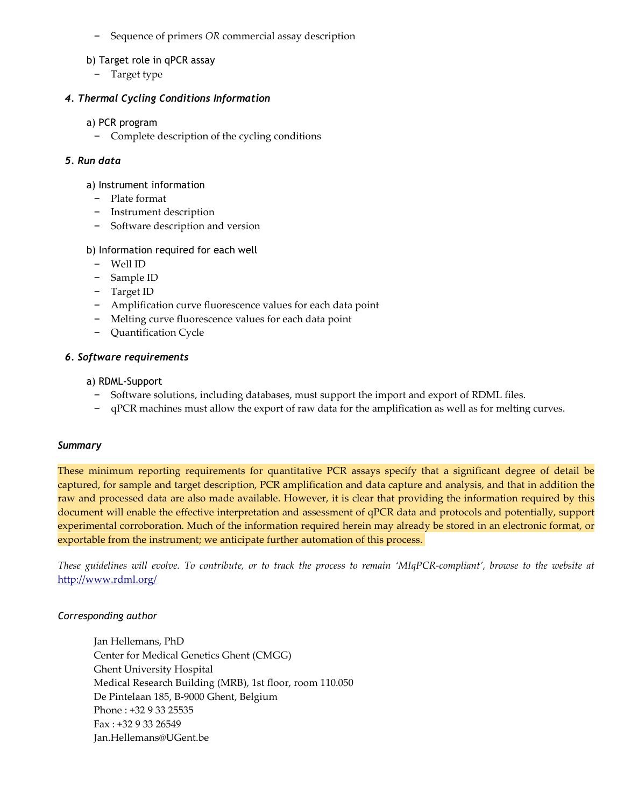– Sequence of primers OR commercial assay description

#### b) Target role in qPCR assay

– Target type

### 4. Thermal Cycling Conditions Information

#### a) PCR program

– Complete description of the cycling conditions

## 5. Run data

#### a) Instrument information

- Plate format
- Instrument description
- Software description and version

## b) Information required for each well

- Well ID
- Sample ID
- Target ID
- Amplification curve fluorescence values for each data point
- Melting curve fluorescence values for each data point
- Quantification Cycle

#### 6. Software requirements

a) RDML-Support

- Software solutions, including databases, must support the import and export of RDML files.
- qPCR machines must allow the export of raw data for the amplification as well as for melting curves.

#### **Summary**

These minimum reporting requirements for quantitative PCR assays specify that a significant degree of detail be captured, for sample and target description, PCR amplification and data capture and analysis, and that in addition the raw and processed data are also made available. However, it is clear that providing the information required by this document will enable the effective interpretation and assessment of qPCR data and protocols and potentially, support experimental corroboration. Much of the information required herein may already be stored in an electronic format, or exportable from the instrument; we anticipate further automation of this process.

These guidelines will evolve. To contribute, or to track the process to remain 'MIqPCR-compliant', browse to the website at http://www.rdml.org/

#### Corresponding author

Jan Hellemans, PhD Center for Medical Genetics Ghent (CMGG) Ghent University Hospital Medical Research Building (MRB), 1st floor, room 110.050 De Pintelaan 185, B-9000 Ghent, Belgium Phone : +32 9 33 25535 Fax : +32 9 33 26549 Jan.Hellemans@UGent.be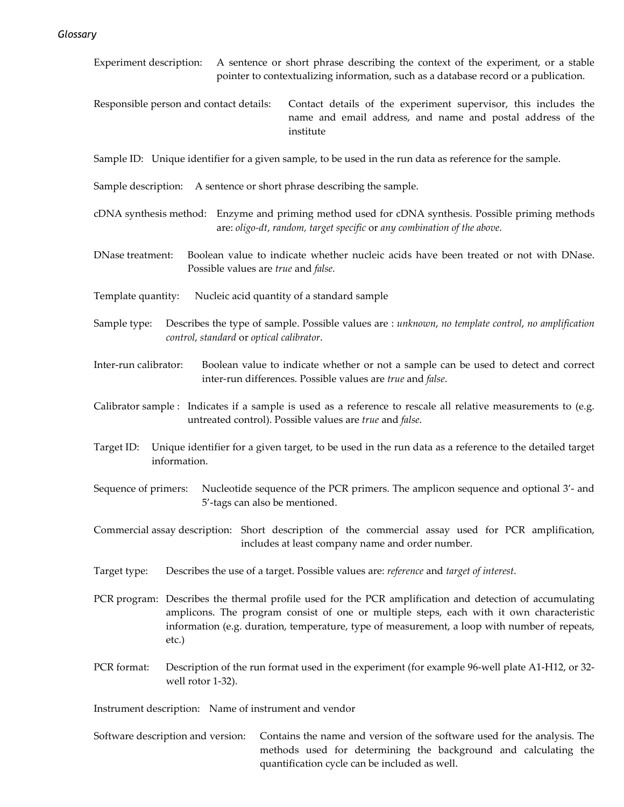- Experiment description: A sentence or short phrase describing the context of the experiment, or a stable pointer to contextualizing information, such as a database record or a publication.
- Responsible person and contact details: Contact details of the experiment supervisor, this includes the name and email address, and name and postal address of the institute

Sample ID: Unique identifier for a given sample, to be used in the run data as reference for the sample.

- Sample description: A sentence or short phrase describing the sample.
- cDNA synthesis method: Enzyme and priming method used for cDNA synthesis. Possible priming methods are: oligo-dt, random, target specific or any combination of the above.
- DNase treatment: Boolean value to indicate whether nucleic acids have been treated or not with DNase. Possible values are true and false.
- Template quantity: Nucleic acid quantity of a standard sample
- Sample type: Describes the type of sample. Possible values are : unknown, no template control, no amplification control, standard or optical calibrator.
- Inter-run calibrator: Boolean value to indicate whether or not a sample can be used to detect and correct inter-run differences. Possible values are true and false.
- Calibrator sample : Indicates if a sample is used as a reference to rescale all relative measurements to (e.g. untreated control). Possible values are true and false.
- Target ID: Unique identifier for a given target, to be used in the run data as a reference to the detailed target information.
- Sequence of primers: Nucleotide sequence of the PCR primers. The amplicon sequence and optional 3'- and 5'-tags can also be mentioned.
- Commercial assay description: Short description of the commercial assay used for PCR amplification, includes at least company name and order number.
- Target type: Describes the use of a target. Possible values are: reference and target of interest.
- PCR program: Describes the thermal profile used for the PCR amplification and detection of accumulating amplicons. The program consist of one or multiple steps, each with it own characteristic information (e.g. duration, temperature, type of measurement, a loop with number of repeats, etc.)
- PCR format: Description of the run format used in the experiment (for example 96-well plate A1-H12, or 32 well rotor 1-32).

Instrument description: Name of instrument and vendor

 Software description and version: Contains the name and version of the software used for the analysis. The methods used for determining the background and calculating the quantification cycle can be included as well.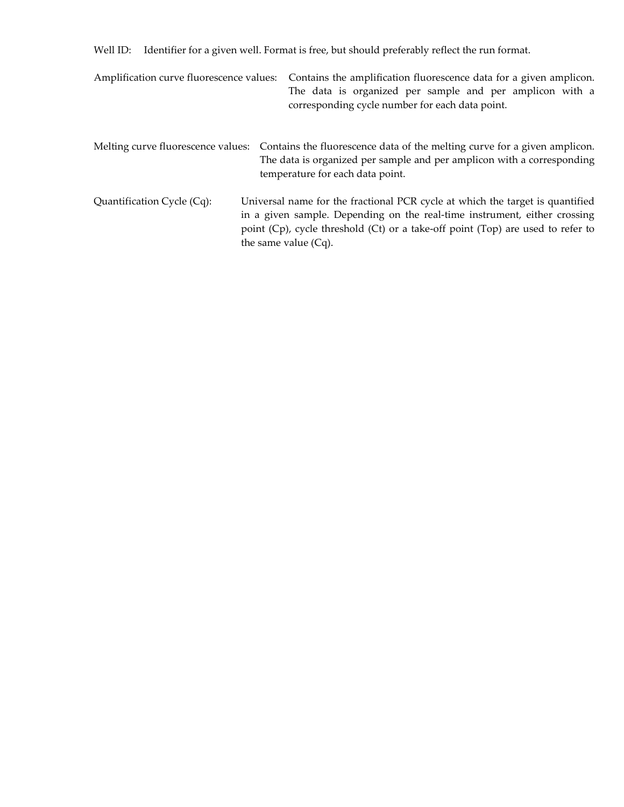Well ID: Identifier for a given well. Format is free, but should preferably reflect the run format.

| Amplification curve fluorescence values: | Contains the amplification fluorescence data for a given amplicon.<br>The data is organized per sample and per amplicon with a<br>corresponding cycle number for each data point.                                                                                        |
|------------------------------------------|--------------------------------------------------------------------------------------------------------------------------------------------------------------------------------------------------------------------------------------------------------------------------|
| Melting curve fluorescence values:       | Contains the fluorescence data of the melting curve for a given amplicon.<br>The data is organized per sample and per amplicon with a corresponding<br>temperature for each data point.                                                                                  |
| Quantification Cycle (Cq):               | Universal name for the fractional PCR cycle at which the target is quantified<br>in a given sample. Depending on the real-time instrument, either crossing<br>point (Cp), cycle threshold (Ct) or a take-off point (Top) are used to refer to<br>the same value $(Cq)$ . |